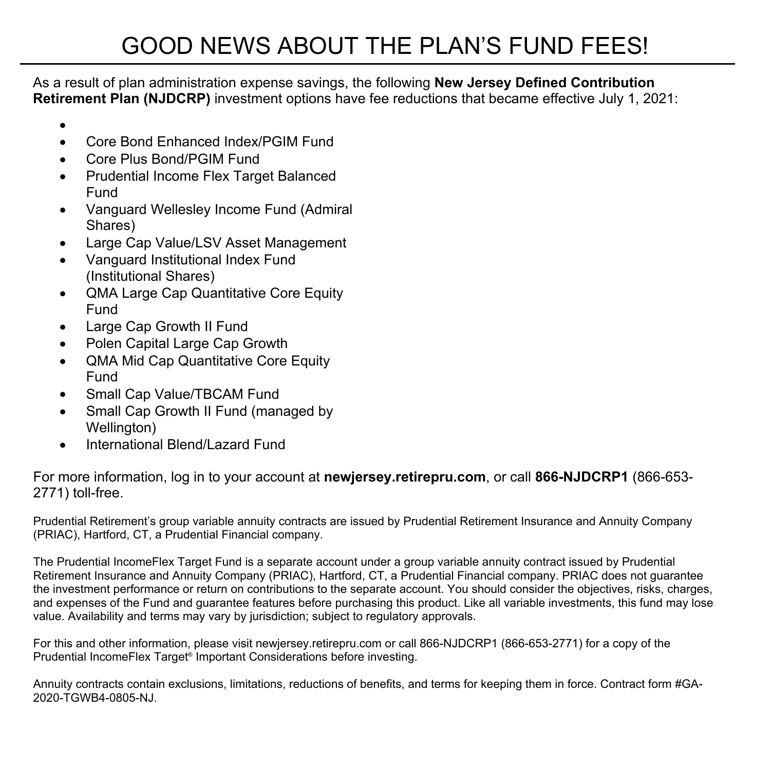As a result of plan administration expense savings, the following **New Jersey Defined Contribution Retirement Plan (NJDCRP)** investment options have fee reductions that became effective July 1, 2021:

- $\bullet$  and  $\bullet$  and  $\bullet$  and  $\bullet$
- Core Bond Enhanced Index/PGIM Fund
- Core Plus Bond/PGIM Fund
- Prudential Income Flex Target Balanced Fund
- Vanguard Wellesley Income Fund (Admiral Shares)
- Large Cap Value/LSV Asset Management
- Vanguard Institutional Index Fund (Institutional Shares)
- QMA Large Cap Quantitative Core Equity Fund
- Large Cap Growth II Fund
- Polen Capital Large Cap Growth
- QMA Mid Cap Quantitative Core Equity Fund
- Small Cap Value/TBCAM Fund
- Small Cap Growth II Fund (managed by Wellington)
- International Blend/Lazard Fund

For more information, log in to your account at **newjersey.retirepru.com**, or call **866-NJDCRP1** (866-653- 2771) toll-free.

Prudential Retirement's group variable annuity contracts are issued by Prudential Retirement Insurance and Annuity Company (PRIAC), Hartford, CT, a Prudential Financial company.

The Prudential IncomeFlex Target Fund is a separate account under a group variable annuity contract issued by Prudential Retirement Insurance and Annuity Company (PRIAC), Hartford, CT, a Prudential Financial company. PRIAC does not guarantee the investment performance or return on contributions to the separate account. You should consider the objectives, risks, charges, and expenses of the Fund and guarantee features before purchasing this product. Like all variable investments, this fund may lose value. Availability and terms may vary by jurisdiction; subject to regulatory approvals.

For this and other information, please visit newjersey.retirepru.com or call 866-NJDCRP1 (866-653-2771) for a copy of the Prudential IncomeFlex Target® Important Considerations before investing.

Annuity contracts contain exclusions, limitations, reductions of benefits, and terms for keeping them in force. Contract form #GA-2020-TGWB4-0805-NJ.